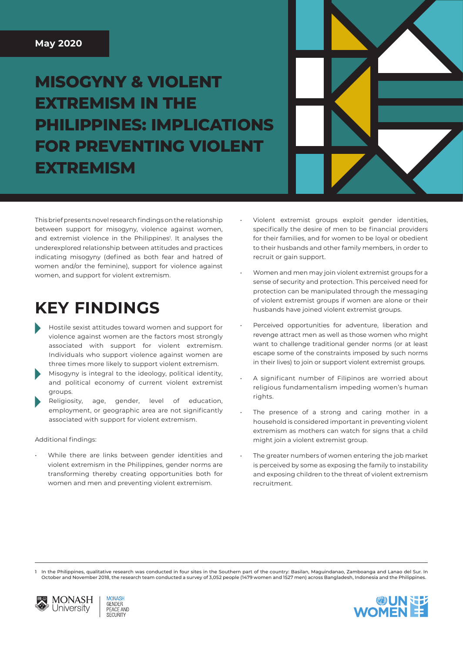#### **May 2020**

# **MISOGYNY & VIOLENT EXTREMISM IN THE PHILIPPINES: IMPLICATIONS FOR PREVENTING VIOLENT EXTREMISM**



This brief presents novel research findings on the relationship between support for misogyny, violence against women, and extremist violence in the Philippines<sup>1</sup>. It analyses the underexplored relationship between attitudes and practices indicating misogyny (defined as both fear and hatred of women and/or the feminine), support for violence against women, and support for violent extremism.

## **KEY FINDINGS**

- Hostile sexist attitudes toward women and support for violence against women are the factors most strongly associated with support for violent extremism. Individuals who support violence against women are three times more likely to support violent extremism.
- Misogyny is integral to the ideology, political identity, and political economy of current violent extremist groups.
- Religiosity, age, gender, level of education, employment, or geographic area are not significantly associated with support for violent extremism.

#### Additional findings:

While there are links between gender identities and violent extremism in the Philippines, gender norms are transforming thereby creating opportunities both for women and men and preventing violent extremism.

- Violent extremist groups exploit gender identities, specifically the desire of men to be financial providers for their families, and for women to be loyal or obedient to their husbands and other family members, in order to recruit or gain support.
- Women and men may join violent extremist groups for a sense of security and protection. This perceived need for protection can be manipulated through the messaging of violent extremist groups if women are alone or their husbands have joined violent extremist groups.
- Perceived opportunities for adventure, liberation and revenge attract men as well as those women who might want to challenge traditional gender norms (or at least escape some of the constraints imposed by such norms in their lives) to join or support violent extremist groups.
- A significant number of Filipinos are worried about religious fundamentalism impeding women's human rights.
- The presence of a strong and caring mother in a household is considered important in preventing violent extremism as mothers can watch for signs that a child might join a violent extremist group.
- The greater numbers of women entering the job market is perceived by some as exposing the family to instability and exposing children to the threat of violent extremism recruitment.

In the Philippines, qualitative research was conducted in four sites in the Southern part of the country: Basilan, Maguindanao, Zamboanga and Lanao del Sur. In October and November 2018, the research team conducted a survey of 3,052 people (1479 women and 1527 men) across Bangladesh, Indonesia and the Philippines.



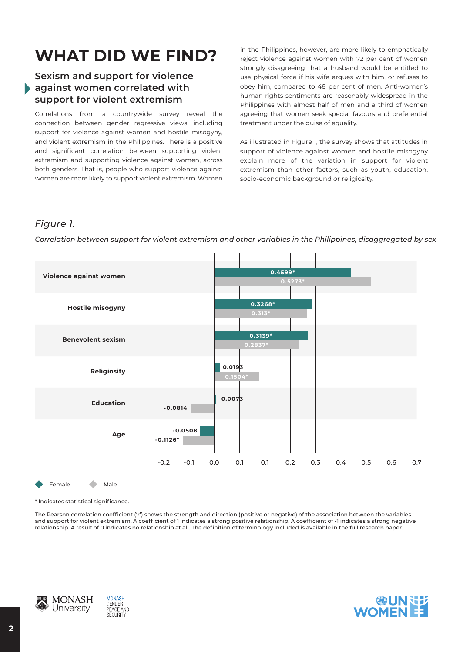# **WHAT DID WE FIND?**

### **Sexism and support for violence against women correlated with support for violent extremism**

Correlations from a countrywide survey reveal the connection between gender regressive views, including support for violence against women and hostile misogyny, and violent extremism in the Philippines. There is a positive and significant correlation between supporting violent extremism and supporting violence against women, across both genders. That is, people who support violence against women are more likely to support violent extremism. Women in the Philippines, however, are more likely to emphatically reject violence against women with 72 per cent of women strongly disagreeing that a husband would be entitled to use physical force if his wife argues with him, or refuses to obey him, compared to 48 per cent of men. Anti-women's human rights sentiments are reasonably widespread in the Philippines with almost half of men and a third of women agreeing that women seek special favours and preferential treatment under the guise of equality.

As illustrated in Figure 1, the survey shows that attitudes in support of violence against women and hostile misogyny explain more of the variation in support for violent extremism than other factors, such as youth, education, socio-economic background or religiosity.

#### *Figure 1.*



*Correlation between support for violent extremism and other variables in the Philippines, disaggregated by sex*

\* Indicates statistical significance.

Female Male

The Pearson correlation coefficient ('r') shows the strength and direction (positive or negative) of the association between the variables and support for violent extremism. A coefficient of 1 indicates a strong positive relationship. A coefficient of -1 indicates a strong negative relationship. A result of 0 indicates no relationship at all. The definition of terminology included is available in the full research paper.



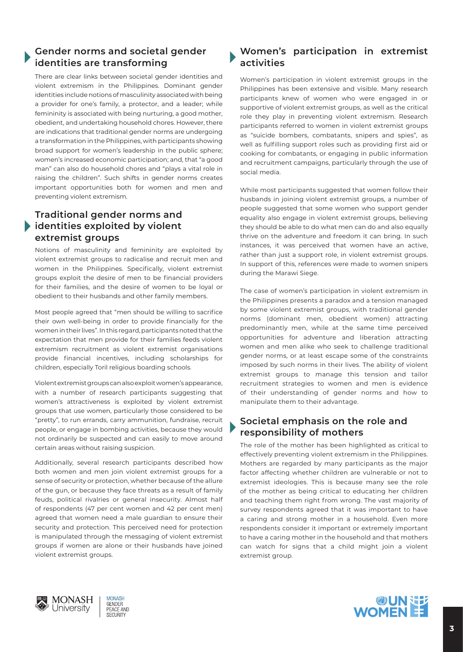### **Gender norms and societal gender identities are transforming**

There are clear links between societal gender identities and violent extremism in the Philippines. Dominant gender identities include notions of masculinity associated with being a provider for one's family, a protector, and a leader; while femininity is associated with being nurturing, a good mother, obedient, and undertaking household chores. However, there are indications that traditional gender norms are undergoing a transformation in the Philippines, with participants showing broad support for women's leadership in the public sphere; women's increased economic participation; and, that "a good man" can also do household chores and "plays a vital role in raising the children". Such shifts in gender norms creates important opportunities both for women and men and preventing violent extremism.

### **Traditional gender norms and identities exploited by violent extremist groups**

Notions of masculinity and femininity are exploited by violent extremist groups to radicalise and recruit men and women in the Philippines. Specifically, violent extremist groups exploit the desire of men to be financial providers for their families, and the desire of women to be loyal or obedient to their husbands and other family members.

Most people agreed that "men should be willing to sacrifice their own well-being in order to provide financially for the women in their lives". In this regard, participants noted that the expectation that men provide for their families feeds violent extremism recruitment as violent extremist organisations provide financial incentives, including scholarships for children, especially Toril religious boarding schools.

Violent extremist groups can also exploit women's appearance, with a number of research participants suggesting that women's attractiveness is exploited by violent extremist groups that use women, particularly those considered to be "pretty", to run errands, carry ammunition, fundraise, recruit people, or engage in bombing activities, because they would not ordinarily be suspected and can easily to move around certain areas without raising suspicion.

Additionally, several research participants described how both women and men join violent extremist groups for a sense of security or protection, whether because of the allure of the gun, or because they face threats as a result of family feuds, political rivalries or general insecurity. Almost half of respondents (47 per cent women and 42 per cent men) agreed that women need a male guardian to ensure their security and protection. This perceived need for protection is manipulated through the messaging of violent extremist groups if women are alone or their husbands have joined violent extremist groups.

#### **Women's participation in extremist activities**

Women's participation in violent extremist groups in the Philippines has been extensive and visible. Many research participants knew of women who were engaged in or supportive of violent extremist groups, as well as the critical role they play in preventing violent extremism. Research participants referred to women in violent extremist groups as "suicide bombers, combatants, snipers and spies", as well as fulfilling support roles such as providing first aid or cooking for combatants, or engaging in public information and recruitment campaigns, particularly through the use of social media.

While most participants suggested that women follow their husbands in joining violent extremist groups, a number of people suggested that some women who support gender equality also engage in violent extremist groups, believing they should be able to do what men can do and also equally thrive on the adventure and freedom it can bring. In such instances, it was perceived that women have an active, rather than just a support role, in violent extremist groups. In support of this, references were made to women snipers during the Marawi Siege.

The case of women's participation in violent extremism in the Philippines presents a paradox and a tension managed by some violent extremist groups, with traditional gender norms (dominant men, obedient women) attracting predominantly men, while at the same time perceived opportunities for adventure and liberation attracting women and men alike who seek to challenge traditional gender norms, or at least escape some of the constraints imposed by such norms in their lives. The ability of violent extremist groups to manage this tension and tailor recruitment strategies to women and men is evidence of their understanding of gender norms and how to manipulate them to their advantage.

#### **Societal emphasis on the role and responsibility of mothers**

The role of the mother has been highlighted as critical to effectively preventing violent extremism in the Philippines. Mothers are regarded by many participants as the major factor affecting whether children are vulnerable or not to extremist ideologies. This is because many see the role of the mother as being critical to educating her children and teaching them right from wrong. The vast majority of survey respondents agreed that it was important to have a caring and strong mother in a household. Even more respondents consider it important or extremely important to have a caring mother in the household and that mothers can watch for signs that a child might join a violent extremist group.